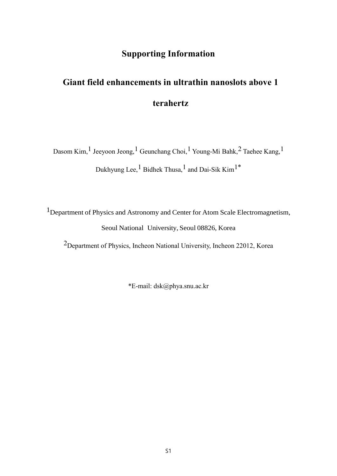# **Supporting Information**

# **Giant field enhancements in ultrathin nanoslots above 1 terahertz**

Dasom Kim,  $^1$  Jeeyoon Jeong,  $^1$  Geunchang Choi,  $^1$  Young-Mi Bahk,  $^2$  Taehee Kang,  $^1$ Dukhyung Lee,  $^1$  Bidhek Thusa,  $^1$  and Dai-Sik Kim $^{1*}$ 

1Department of Physics and Astronomy and Center for Atom Scale Electromagnetism, Seoul National University, Seoul 08826, Korea

2Department of Physics, Incheon National University, Incheon 22012, Korea

\*E-mail: dsk@phya.snu.ac.kr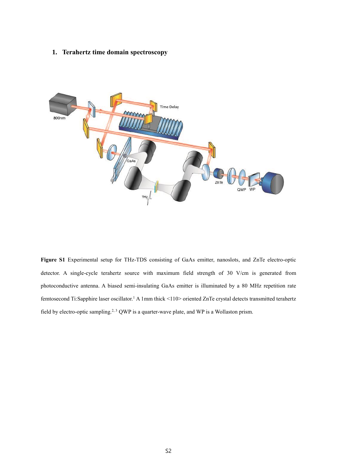## **1. Terahertz time domain spectroscopy**



**Figure S1** Experimental setup for THz-TDS consisting of GaAs emitter, nanoslots, and ZnTe electro-optic detector. A single-cycle terahertz source with maximum field strength of 30 V/cm is generated from photoconductive antenna. A biased semi-insulating GaAs emitter is illuminated by a 80 MHz repetition rate femtosecond Ti:Sapphire laser oscillator.<sup>1</sup> A 1mm thick <110> oriented ZnTe crystal detects transmitted terahertz field by electro-optic sampling.<sup>2, 3</sup> QWP is a quarter-wave plate, and WP is a Wollaston prism.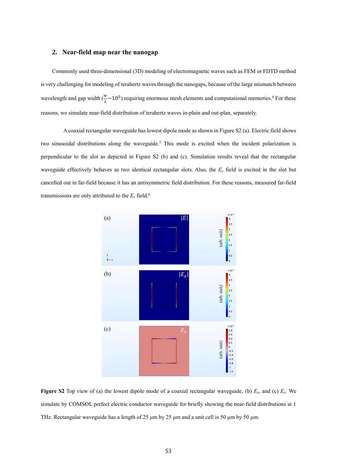#### **2. Near-field map near the nanogap**

Commonly used three-dimensional (3D) modeling of electromagnetic waves such as FEM or FDTD method is very challenging for modeling of terahertz waves through the nanogaps, because of the large mismatch between wavelength and gap width  $(\frac{w}{\lambda} \sim 10^5)$  requiring enormous mesh elements and computational memories.<sup>4</sup> For these reasons, we simulate near-field distribution of terahertz waves in-plain and out-plan, separately.

A coaxial rectangular waveguide has lowest dipole mode as shown in Figure S2 (a). Electric field shows two sinusoidal distributions along the waveguide. <sup>5</sup> This mode is excited when the incident polarization is perpendicular to the slot as depicted in Figure S2 (b) and (c). Simulation results reveal that the rectangular waveguide effectively behaves as two identical rectangular slots. Also, the *E<sup>y</sup>* field is excited in the slot but cancelled out in far-field because it has an antisymmetric field distribution. For these reasons, measured far-field transmissions are only attributed to the  $E<sub>x</sub>$  field.<sup>6</sup>



**Figure S2** Top view of (a) the lowest dipole mode of a coaxial rectangular waveguide, (b) *Ex*, and (c) *Ey.* We simulate by COMSOL perfect electric conductor waveguide for briefly showing the near-field distributions at 1 THz. Rectangular waveguide has a length of 25 μm by 25 μm and a unit cell is 50 μm by 50 μm.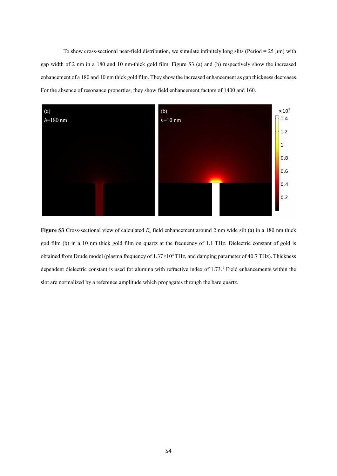To show cross-sectional near-field distribution, we simulate infinitely long slits (Period =  $25 \mu m$ ) with gap width of 2 nm in a 180 and 10 nm-thick gold film. Figure S3 (a) and (b) respectively show the increased enhancement of a 180 and 10 nm thick gold film. They show the increased enhancement as gap thickness decreases. For the absence of resonance properties, they show field enhancement factors of 1400 and 160.



**Figure S3** Cross-sectional view of calculated *E<sup>x</sup>* field enhancement around 2 nm wide silt (a) in a 180 nm thick god film (b) in a 10 nm thick gold film on quartz at the frequency of 1.1 THz. Dielectric constant of gold is obtained from Drude model (plasma frequency of 1.37×10<sup>4</sup> THz, and damping parameter of 40.7 THz). Thickness dependent dielectric constant is used for alumina with refractive index of 1.73. <sup>7</sup> Field enhancements within the slot are normalized by a reference amplitude which propagates through the bare quartz.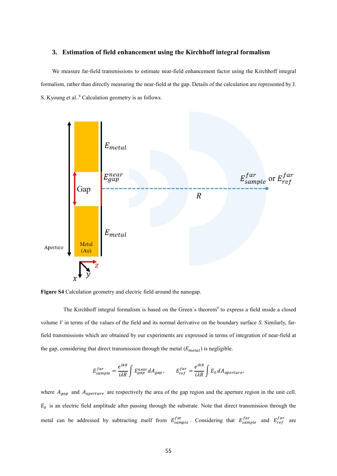#### **3. Estimation of field enhancement using the Kirchhoff integral formalism**

We measure far-field transmissions to estimate near-field enhancement factor using the Kirchhoff integral formalism, rather than directly measuring the near-field at the gap. Details of the calculation are represented by J. S. Kyoung et al.. <sup>8</sup> Calculation geometry is as follows.



**Figure S4** Calculation geometry and electric field around the nanogap.

The Kirchhoff integral formalism is based on the Green's theorem<sup>9</sup> to express a field inside a closed volume *V* in terms of the values of the field and its normal derivative on the boundary surface *S*. Similarly, farfield transmissions which are obtained by our experiments are expressed in terms of integration of near-field at the gap, considering that direct transmission through the metal  $(E_{metal})$  is negligible.

$$
E^{far}_{sample} = \frac{e^{ikR}}{i\lambda R} \int E^{near}_{gap} dA_{gap} \,, \qquad E^{far}_{ref} = \frac{e^{ikR}}{i\lambda R} \int E_0 dA_{aperture} ,
$$

where  $A_{gap}$  and  $A_{aperture}$  are respectively the area of the gap region and the aperture region in the unit cell.  $E_0$  is an electric field amplitude after passing through the substrate. Note that direct transmission through the metal can be addressed by subtracting itself from  $E_{sample}^{far}$ . Considering that  $E_{sample}^{far}$  and  $E_{ref}^{far}$  are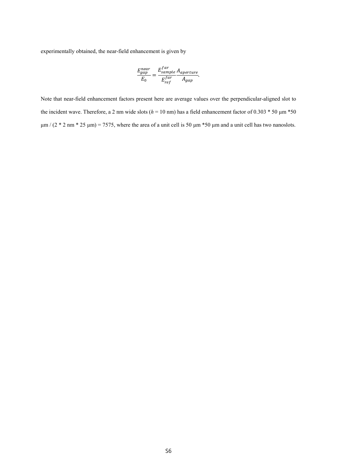experimentally obtained, the near-field enhancement is given by

$$
\frac{E_{gap}^{near}}{E_0} = \frac{E_{sample}^{far}}{E_{ref}^{far}} \frac{A_{aperture}}{A_{gap}}.
$$

Note that near-field enhancement factors present here are average values over the perpendicular-aligned slot to the incident wave. Therefore, a 2 nm wide slots  $(h = 10 \text{ nm})$  has a field enhancement factor of 0.303  $*$  50  $\mu$ m  $*$ 50  $\mu$ m / (2 \* 2 nm \* 25  $\mu$ m) = 7575, where the area of a unit cell is 50  $\mu$ m \*50  $\mu$ m and a unit cell has two nanoslots.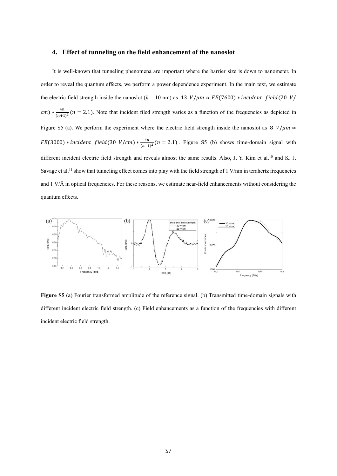#### **4. Effect of tunneling on the field enhancement of the nanoslot**

It is well-known that tunneling phenomena are important where the barrier size is down to nanometer. In order to reveal the quantum effects, we perform a power dependence experiment. In the main text, we estimate the electric field strength inside the nanoslot ( $h = 10$  nm) as 13  $V/\mu m \approx FE(7600) * incident field(20 V/m)$  $cm) * \frac{4n}{\sqrt{m+1}}$  $\frac{4n}{(n+1)^2}$  (n = 2.1). Note that incident filed strength varies as a function of the frequencies as depicted in Figure S5 (a). We perform the experiment where the electric field strength inside the nanoslot as 8  $V/\mu m \approx$  $FE(3000) * incident field(30 V/cm) * \frac{4n}{\sqrt{3}}$  $\frac{4h}{(n+1)^2}$  (n = 2.1). Figure S5 (b) shows time-domain signal with different incident electric field strength and reveals almost the same results. Also, J. Y. Kim et al.<sup>10</sup> and K. J. Savage et al.<sup>11</sup> show that tunneling effect comes into play with the field strength of 1 V/nm in terahertz frequencies and 1 V/ $\AA$  in optical frequencies. For these reasons, we estimate near-field enhancements without considering the quantum effects.



**Figure S5** (a) Fourier transformed amplitude of the reference signal. (b) Transmitted time-domain signals with different incident electric field strength. (c) Field enhancements as a function of the frequencies with different incident electric field strength.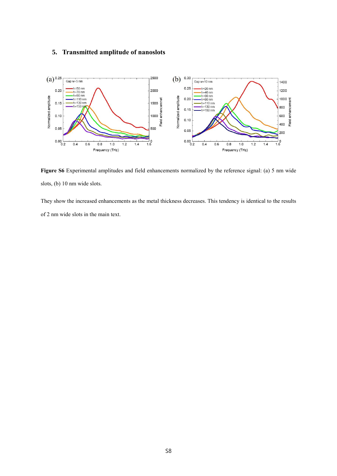# **5. Transmitted amplitude of nanoslots**



**Figure S6** Experimental amplitudes and field enhancements normalized by the reference signal: (a) 5 nm wide slots, (b) 10 nm wide slots.

They show the increased enhancements as the metal thickness decreases. This tendency is identical to the results of 2 nm wide slots in the main text.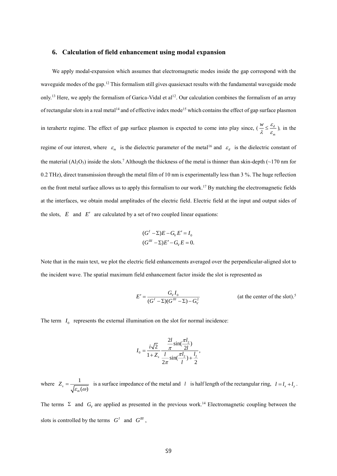#### **6. Calculation of field enhancement using modal expansion**

We apply modal-expansion which assumes that electromagnetic modes inside the gap correspond with the waveguide modes of the gap.<sup>12</sup> This formalism still gives quasiexact results with the fundamental waveguide mode only.<sup>13</sup> Here, we apply the formalism of Garica-Vidal et al<sup>12</sup>. Our calculation combines the formalism of an array of rectangular slots in a real metal<sup>14</sup> and of effective index mode<sup>15</sup> which contains the effect of gap surface plasmon in terahertz regime. The effect of gap surface plasmon is expected to come into play since,  $\left(\frac{n}{\epsilon}\right) \leq \frac{d}{d}$ *w*  $\varepsilon$  $\frac{n}{\lambda} \leq \frac{c_d}{\varepsilon}$ ), in the regime of our interest, where  $\varepsilon_m$  is the dielectric parameter of the metal<sup>16</sup> and  $\varepsilon_d$  is the dielectric constant of the material (Al<sub>2</sub>O<sub>3</sub>) inside the slots.<sup>7</sup> Although the thickness of the metal is thinner than skin-depth (~170 nm for 0.2 THz), direct transmission through the metal film of 10 nm is experimentally less than 3 %. The huge reflection on the front metal surface allows us to apply this formalism to our work. <sup>17</sup> By matching the electromagnetic fields at the interfaces, we obtain modal amplitudes of the electric field. Electric field at the input and output sides of the slots,  $E$  and  $E'$  are calculated by a set of two coupled linear equations:

$$
(G1 - \Sigma)E - GVE' = I0
$$
  

$$
(GIII - \Sigma)E' - GVE = 0.
$$

Note that in the main text, we plot the electric field enhancements averaged over the perpendicular-aligned slot to the incident wave. The spatial maximum field enhancement factor inside the slot is represented as

$$
E' = \frac{G_V I_0}{(G^T - \Sigma)(G^{III} - \Sigma) - G_V^2}
$$
 (at the center of the slot).<sup>5</sup>

The term  $I_0$  represents the external illumination on the slot for normal incidence:

$$
I_0 = \frac{i\sqrt{2}}{1+Z_s} \frac{\frac{2l}{\pi} \sin(\frac{\pi l_2}{2l})}{\frac{l}{2\pi} \sin(\frac{\pi l_2}{l}) + \frac{l_2}{2}},
$$

where  $Z_s = \frac{1}{\sqrt{2\pi}}$  $\int_{\mathcal{E}_m}^s(\omega)$ *Z*  $\frac{1}{\sqrt{\varepsilon(\omega)}}$  is a surface impedance of the metal and l is half length of the rectangular ring,  $l = l_x + l_y$ .

The terms  $\Sigma$  and  $G_V$  are applied as presented in the previous work.<sup>14</sup> Electromagnetic coupling between the slots is controlled by the terms  $G^I$  and  $G^{III}$ ,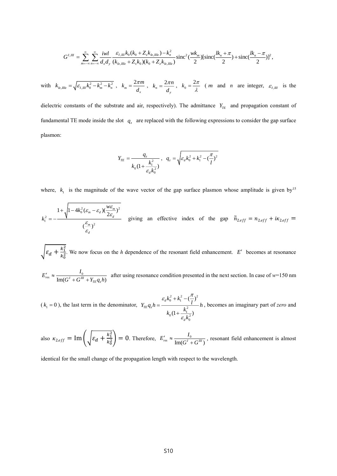$$
G^{I,III} = \sum_{m=-\infty}^{\infty} \sum_{n=-\infty}^{\infty} \frac{iwl}{d_x d_y} \frac{\varepsilon_{I,III} k_0 (k_0 + Z_s k_{Iz,IIIz}) - k_n^2}{(k_{Iz,IIIz} + Z_s k_0)(k_0 + Z_z k_{Iz,IIIz})} \text{sinc}^2(\frac{wk_m}{2}) [\text{sinc}(\frac{lk_n + \pi}{2}) + \text{sinc}(\frac{lk_n - \pi}{2})]^2,
$$

with 
$$
k_{t_z,m_z} = \sqrt{\varepsilon_{t,m}k_0^2 - k_m^2 - k_n^2}
$$
,  $k_m = \frac{2\pi m}{d_x}$ ,  $k_n = \frac{2\pi n}{d_y}$ ,  $k_0 = \frac{2\pi}{\lambda}$  (*m* and *n* are integer,  $\varepsilon_{t,m}$  is the

dielectric constants of the substrate and air, respectively). The admittance  $Y_{TE}$  and propagation constant of fundamental TE mode inside the slot  $q_z$  are replaced with the following expressions to consider the gap surface plasmon:

$$
Y_{TE} = \frac{q_z}{k_0(1 + \frac{k_1^2}{\varepsilon_d k_0^2})}, \quad q_z = \sqrt{\varepsilon_d k_0^2 + k_1^2 - (\frac{\pi}{l})^2}
$$

where,  $k_1$  is the magnitude of the wave vector of the gap surface plasmon whose amplitude is given by<sup>15</sup>

$$
k_1^2 = -\frac{1 + \sqrt{1 - 4k_0^2(\varepsilon_m - \varepsilon_d)(\frac{w\varepsilon_m}{2\varepsilon_d})^2}}{(\frac{\varepsilon_m}{\varepsilon_d})^2}
$$
 giving an effective index of the gap  $\tilde{n}_{2,eff} = n_{2,eff} + i\kappa_{2,eff} =$ 

 $\left| \varepsilon_d + \frac{k_1^2}{\nu^2} \right|$  $\frac{n_1}{k_0^2}$ . We now focus on the *h* dependence of the resonant field enhancement. *E'* becomes at resonance

 $\frac{r_{res}}{Im(G^I+G^{III}+Y_{TE}q_zh)}$  $E'_{res} \approx \frac{I_{_0}}{\text{Im}(G^I+G^{III}+Y_{\tau F} q_{_\tau} h_{\tau})}$  $\frac{a'}{s} \approx \frac{a_0}{\text{Im}(G^T + G^T + Y_{rr}a)}$  after using resonance condition presented in the next section. In case of w=150 nm

 $(k_1 = 0)$ , the last term in the denominator,  $k_0^2 + k_1^2 - (\frac{\pi}{2})^2$  $\frac{k_1^2}{12}$ 0  $\left( \frac{\cdot \cdot }{\cdot }\right)$  $(1 + \frac{1}{2})$ *d TE z d*  $Y_{TE}q_zh = \frac{\varepsilon_d k_0^2 + k_1^2 - \left(\frac{\mu}{l}\right)^2}{k_0(1 + \frac{k_1^2}{\varepsilon \cdot k_0^2})}h$  $\varepsilon_{1}k_{0}^{2}+k_{1}^{2}-({\pi}$ ε  $+ k^ -$ =  $^{+}$ , becomes an imaginary part of *zero* and

also  $\kappa_{2.eff} = \text{Im} \left( \int \epsilon_d + \frac{k_1^2}{k_2^2} \right)$  $\left(\frac{k_1}{k_0^2}\right)$  = 0. Therefore,  $E'_{res} \approx \frac{I_0}{\text{Im}(G' + G'')}$  $E'_{res} \approx \frac{I_0}{\text{Im}(G^I + G^I)}$  $\int_{res}$   $\approx \frac{r_0}{\text{Im}(G^T + G^W)}$ , resonant field enhancement is almost

identical for the small change of the propagation length with respect to the wavelength.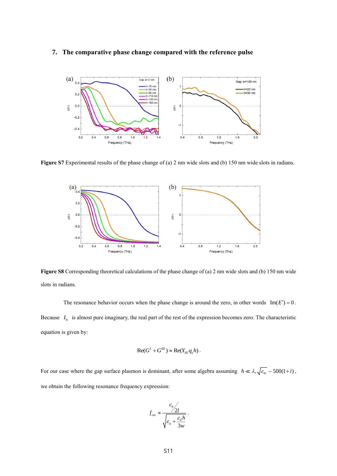## **7. The comparative phase change compared with the reference pulse**



**Figure S7** Experimental results of the phase change of (a) 2 nm wide slots and (b) 150 nm wide slots in radians.



**Figure S8** Corresponding theoretical calculations of the phase change of (a) 2 nm wide slots and (b) 150 nm wide slots in radians.

The resonance behavior occurs when the phase change is around the zero, in other words  $\text{Im}(E') = 0$ . Because  $I_0$  is almost pure imaginary, the real part of the rest of the expression becomes zero. The characteristic equation is given by:

$$
Re(G1 + GIII) \approx Re(YTE qz h).
$$

For our case where the gap surface plasmon is dominant, after some algebra assuming  $h \ll \lambda$ ,  $\int_{\mathcal{E}_m} \sim 500(1+i)$ , we obtain the following resonance frequency expression:

$$
f_{res} \approx \frac{c_0/2l}{\sqrt{\varepsilon_a + \frac{\varepsilon_d h}{3w}}}.
$$